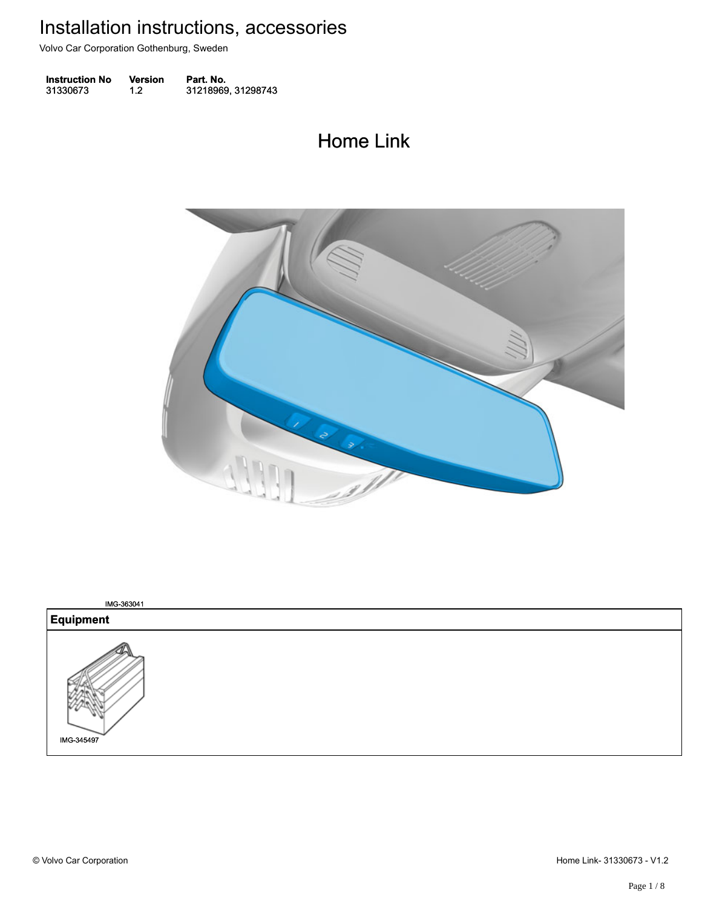Volvo Car Corporation Gothenburg, Sweden

**Instruction No** Version Part. No. 31330673 1.2 31218969, 31298743 313306731.231218969, 31298743

### Home Link Home Link



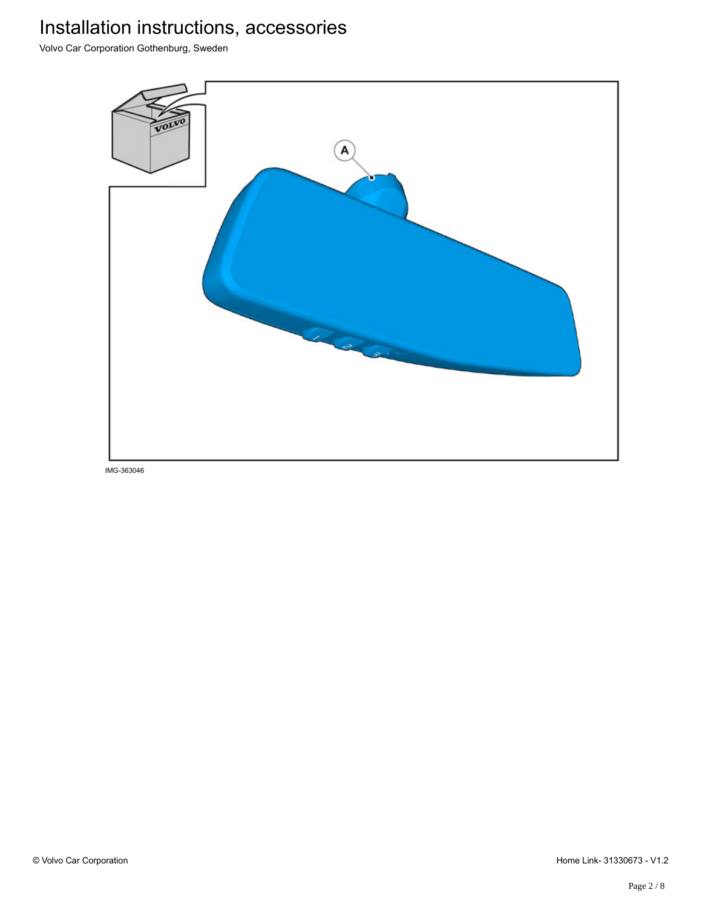Volvo Car Corporation Gothenburg, Sweden



IMG-363046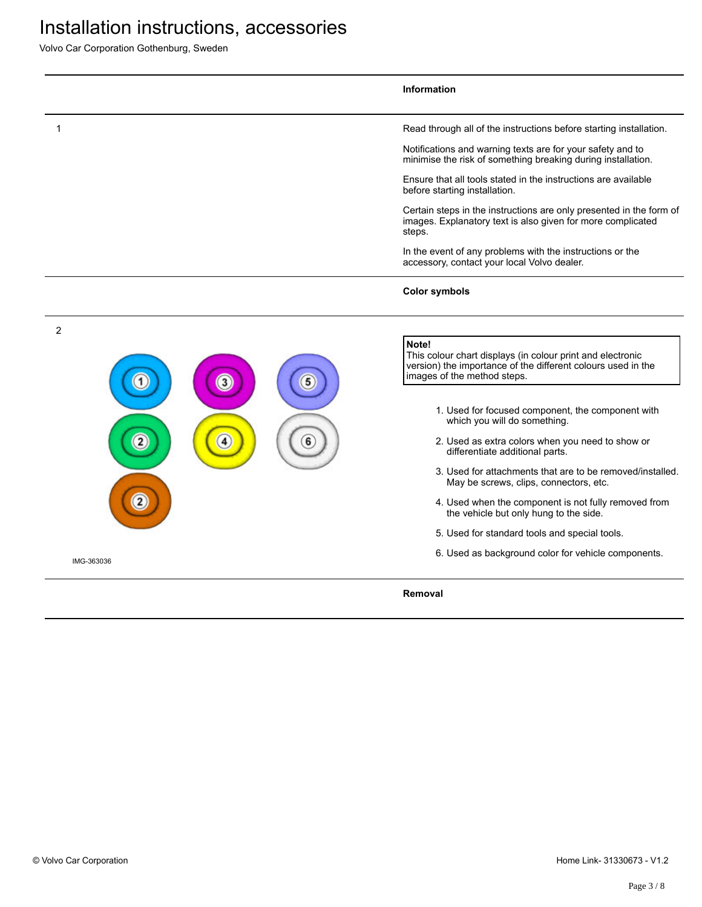Volvo Car Corporation Gothenburg, Sweden

|                | Information                                                                                                                                                        |
|----------------|--------------------------------------------------------------------------------------------------------------------------------------------------------------------|
| -1             | Read through all of the instructions before starting installation.                                                                                                 |
|                | Notifications and warning texts are for your safety and to<br>minimise the risk of something breaking during installation.                                         |
|                | Ensure that all tools stated in the instructions are available<br>before starting installation.                                                                    |
|                | Certain steps in the instructions are only presented in the form of<br>images. Explanatory text is also given for more complicated<br>steps.                       |
|                | In the event of any problems with the instructions or the<br>accessory, contact your local Volvo dealer.                                                           |
|                | <b>Color symbols</b>                                                                                                                                               |
| $\overline{2}$ |                                                                                                                                                                    |
| 3              | Note!<br>This colour chart displays (in colour print and electronic<br>version) the importance of the different colours used in the<br>images of the method steps. |
|                | 1. Used for focused component, the component with<br>which you will do something.                                                                                  |
| 2<br>4         | 2. Used as extra colors when you need to show or<br>differentiate additional parts.                                                                                |
|                | 3. Used for attachments that are to be removed/installed.<br>May be screws, clips, connectors, etc.                                                                |
|                | 4. Used when the component is not fully removed from<br>the vehicle but only hung to the side.                                                                     |
|                | 5. Used for standard tools and special tools.                                                                                                                      |
| IMG-363036     | 6. Used as background color for vehicle components.                                                                                                                |
|                | Removal                                                                                                                                                            |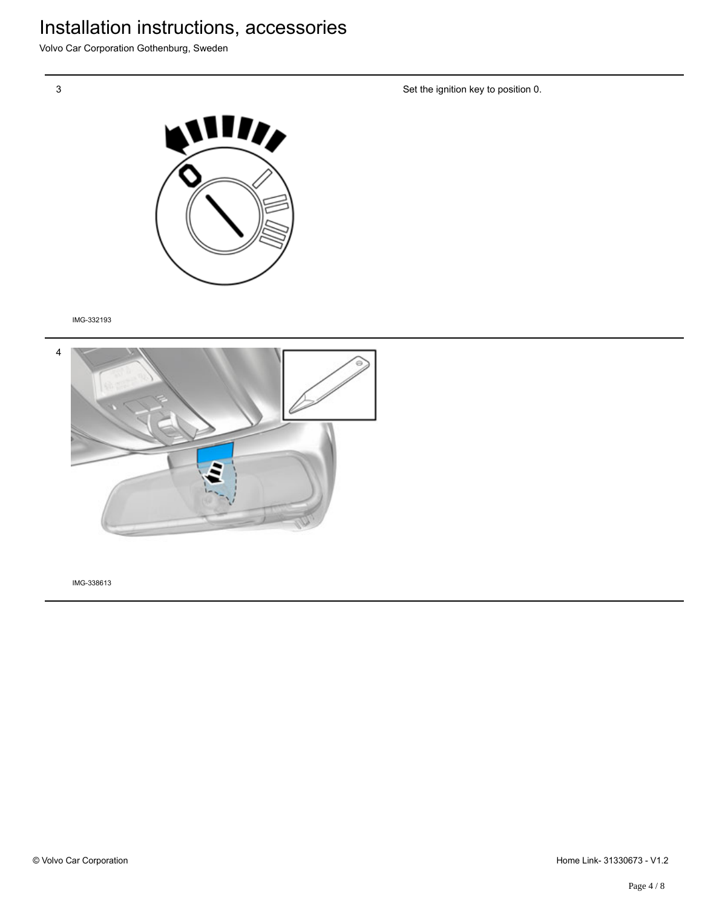Volvo Car Corporation Gothenburg, Sweden

Set the ignition key to position 0.



IMG-332193



IMG-338613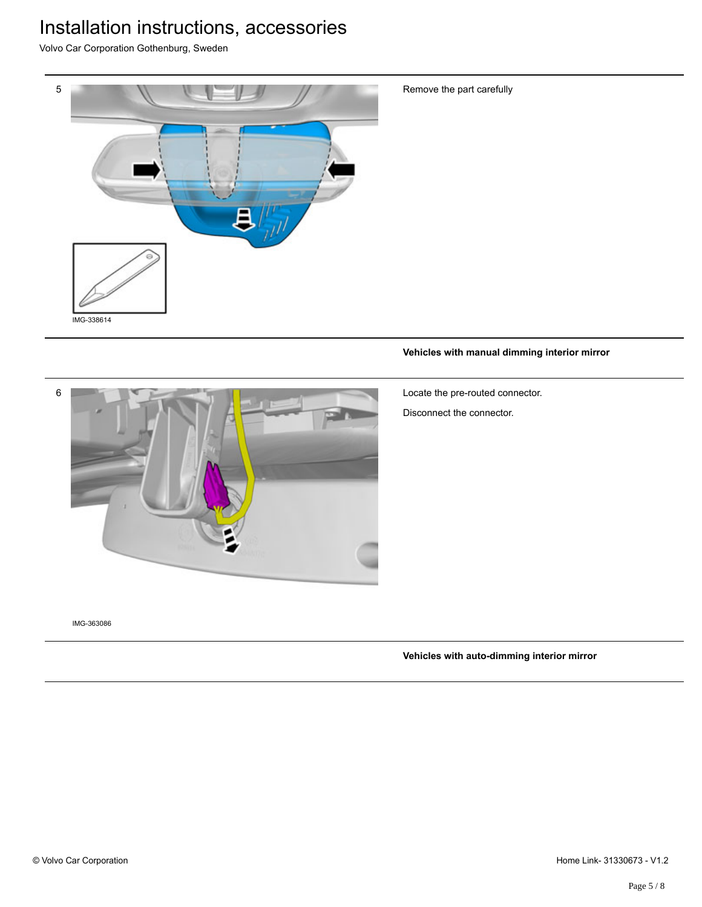Volvo Car Corporation Gothenburg, Sweden



Remove the part carefully

### **Vehicles with manual dimming interior mirror**



Locate the pre-routed connector.

Disconnect the connector.

IMG-363086

#### **Vehicles with auto-dimming interior mirror**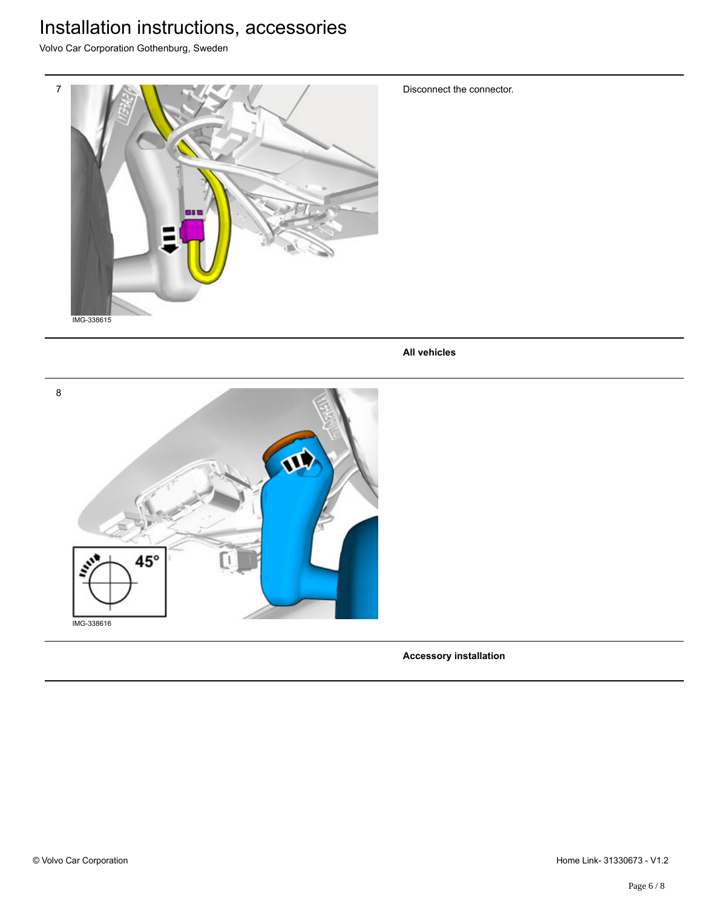Volvo Car Corporation Gothenburg, Sweden



Disconnect the connector.

**All vehicles**



**Accessory installation**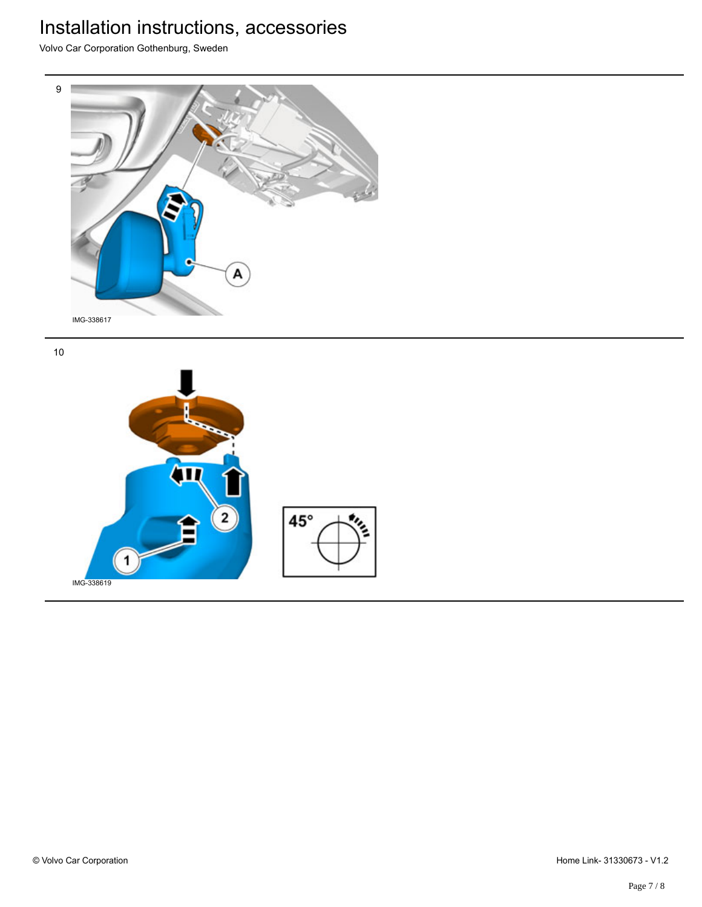Volvo Car Corporation Gothenburg, Sweden



10